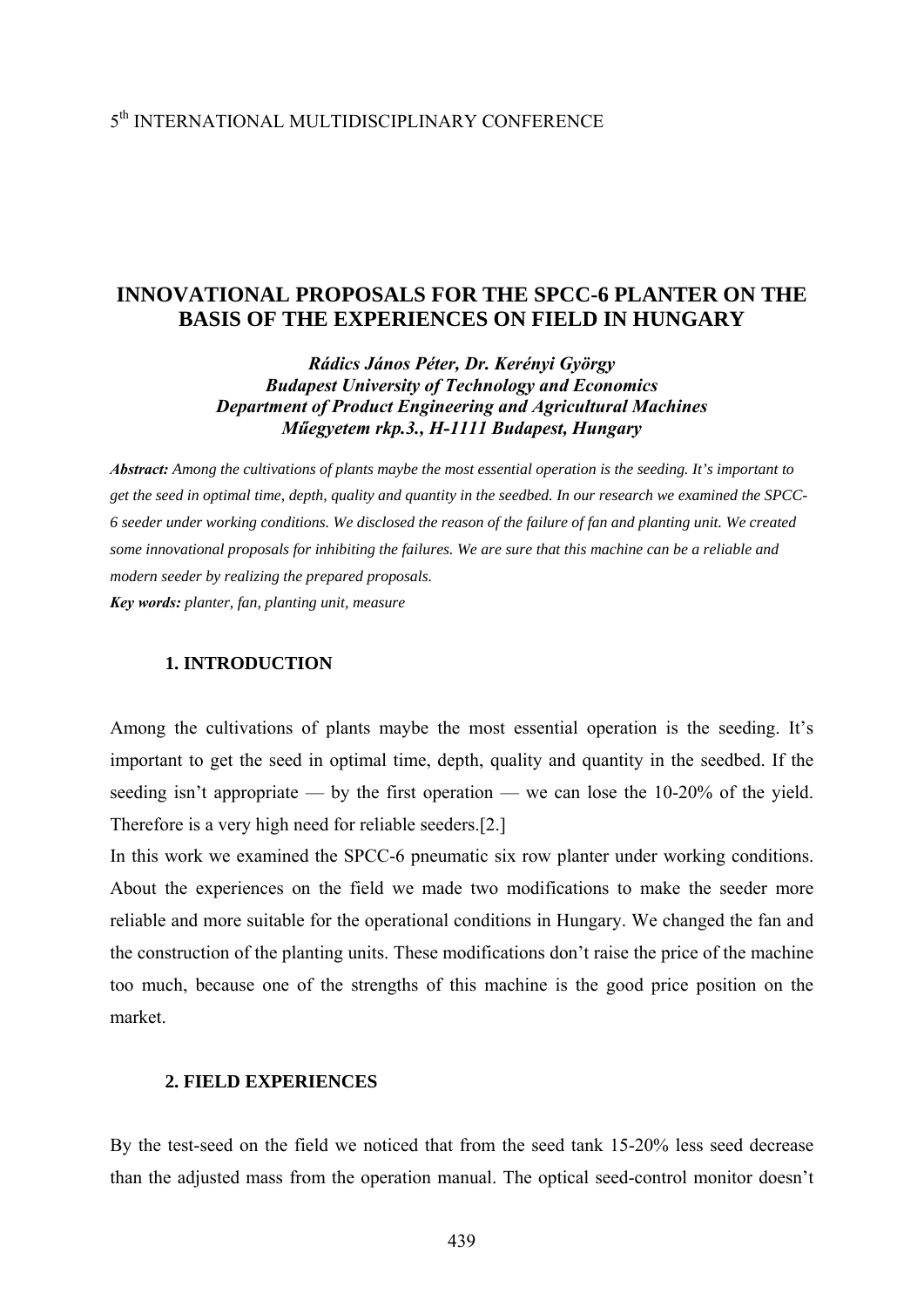# 5th INTERNATIONAL MULTIDISCIPLINARY CONFERENCE

# **INNOVATIONAL PROPOSALS FOR THE SPCC-6 PLANTER ON THE BASIS OF THE EXPERIENCES ON FIELD IN HUNGARY**

*Rádics János Péter, Dr. Kerényi György Budapest University of Technology and Economics Department of Product Engineering and Agricultural Machines Műegyetem rkp.3., H-1111 Budapest, Hungary* 

*Abstract: Among the cultivations of plants maybe the most essential operation is the seeding. It's important to get the seed in optimal time, depth, quality and quantity in the seedbed. In our research we examined the SPCC-6 seeder under working conditions. We disclosed the reason of the failure of fan and planting unit. We created some innovational proposals for inhibiting the failures. We are sure that this machine can be a reliable and modern seeder by realizing the prepared proposals. Key words: planter, fan, planting unit, measure* 

### **1. INTRODUCTION**

Among the cultivations of plants maybe the most essential operation is the seeding. It's important to get the seed in optimal time, depth, quality and quantity in the seedbed. If the seeding isn't appropriate — by the first operation — we can lose the 10-20% of the yield. Therefore is a very high need for reliable seeders.[2.]

In this work we examined the SPCC-6 pneumatic six row planter under working conditions. About the experiences on the field we made two modifications to make the seeder more reliable and more suitable for the operational conditions in Hungary. We changed the fan and the construction of the planting units. These modifications don't raise the price of the machine too much, because one of the strengths of this machine is the good price position on the market.

#### **2. FIELD EXPERIENCES**

By the test-seed on the field we noticed that from the seed tank 15-20% less seed decrease than the adjusted mass from the operation manual. The optical seed-control monitor doesn't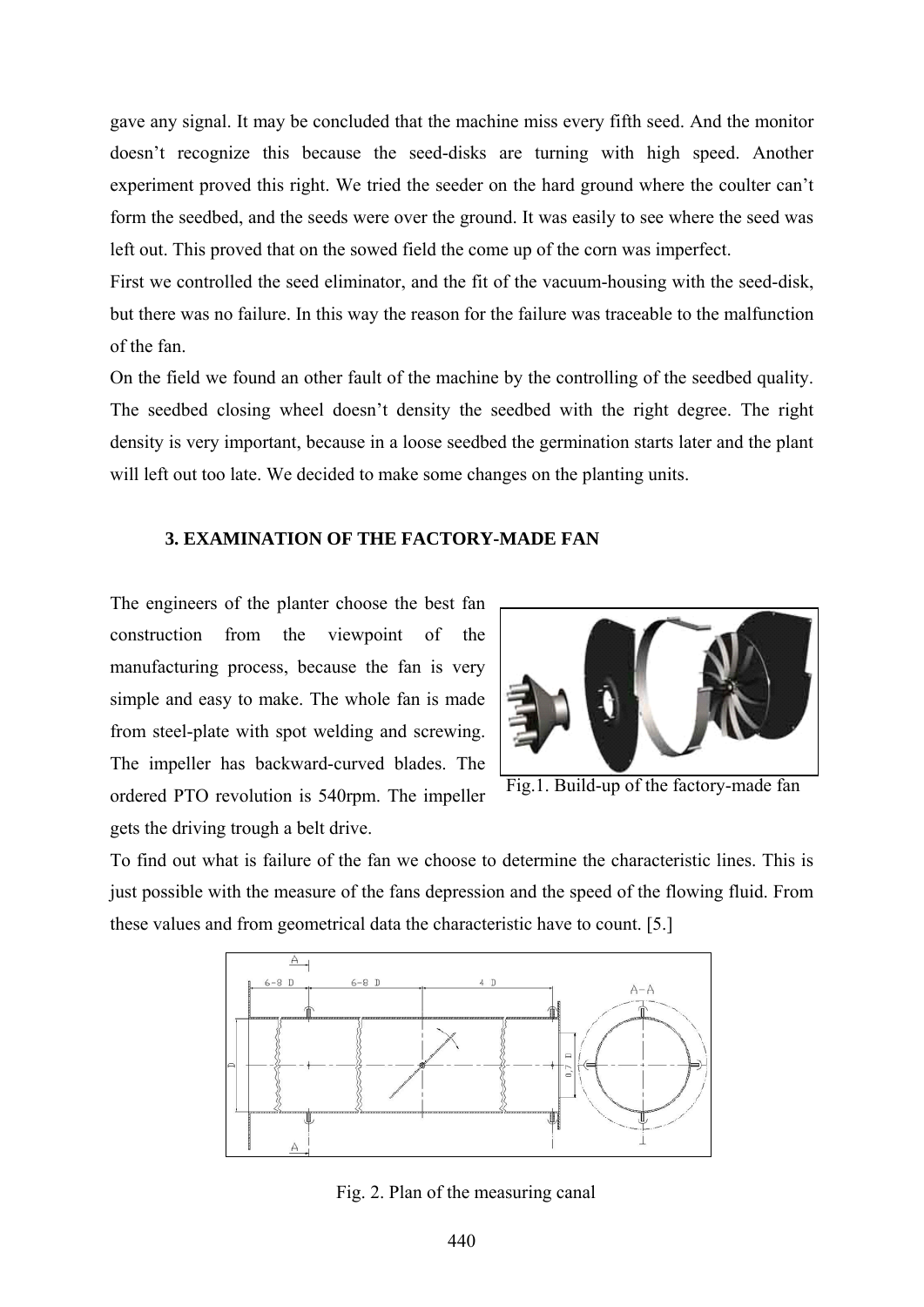gave any signal. It may be concluded that the machine miss every fifth seed. And the monitor doesn't recognize this because the seed-disks are turning with high speed. Another experiment proved this right. We tried the seeder on the hard ground where the coulter can't form the seedbed, and the seeds were over the ground. It was easily to see where the seed was left out. This proved that on the sowed field the come up of the corn was imperfect.

First we controlled the seed eliminator, and the fit of the vacuum-housing with the seed-disk, but there was no failure. In this way the reason for the failure was traceable to the malfunction of the fan.

On the field we found an other fault of the machine by the controlling of the seedbed quality. The seedbed closing wheel doesn't density the seedbed with the right degree. The right density is very important, because in a loose seedbed the germination starts later and the plant will left out too late. We decided to make some changes on the planting units.

#### **3. EXAMINATION OF THE FACTORY-MADE FAN**

The engineers of the planter choose the best fan construction from the viewpoint of the manufacturing process, because the fan is very simple and easy to make. The whole fan is made from steel-plate with spot welding and screwing. The impeller has backward-curved blades. The ordered PTO revolution is 540rpm. The impeller gets the driving trough a belt drive.



Fig.1. Build-up of the factory-made fan

To find out what is failure of the fan we choose to determine the characteristic lines. This is just possible with the measure of the fans depression and the speed of the flowing fluid. From these values and from geometrical data the characteristic have to count. [5.]



Fig. 2. Plan of the measuring canal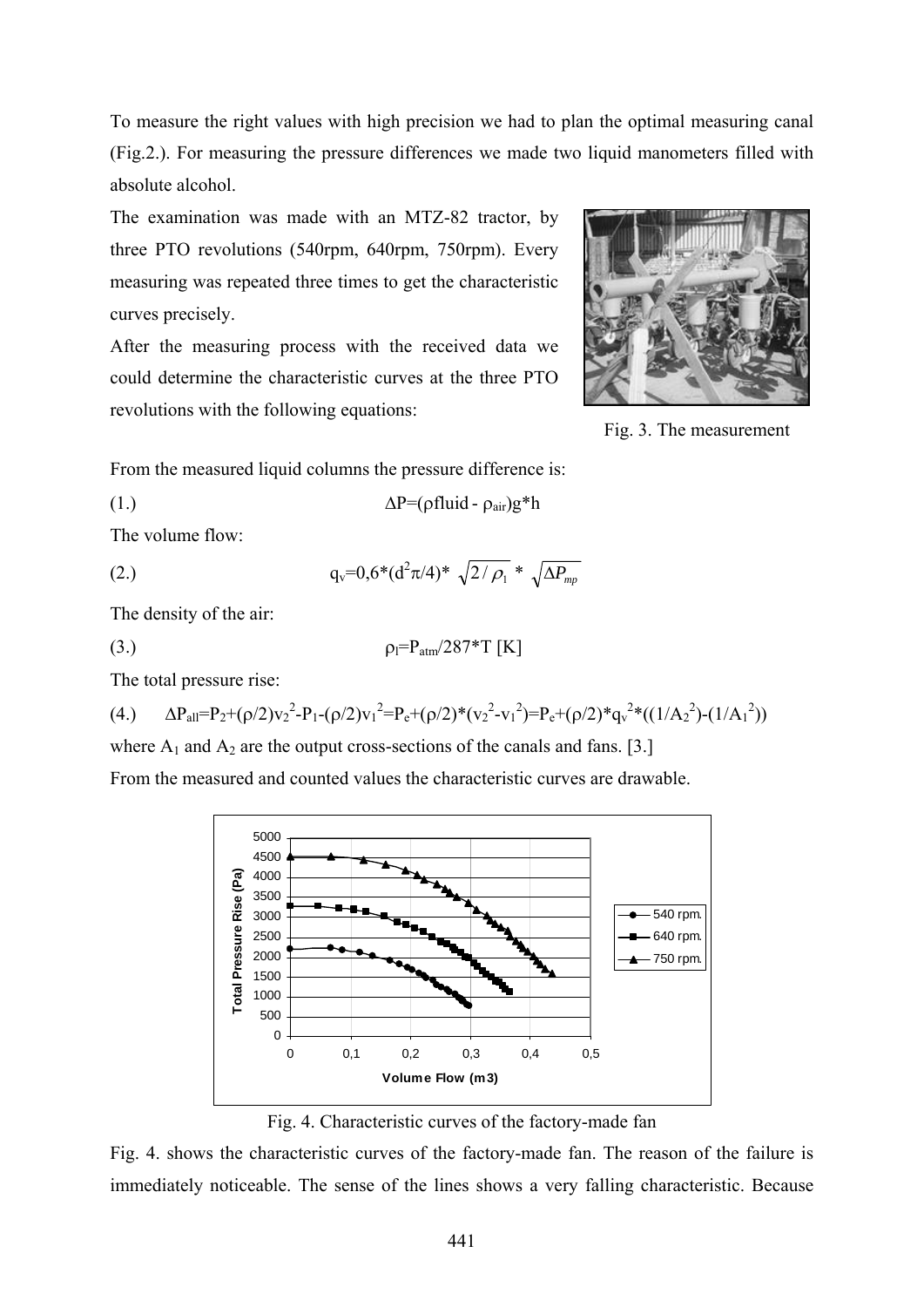To measure the right values with high precision we had to plan the optimal measuring canal (Fig.2.). For measuring the pressure differences we made two liquid manometers filled with absolute alcohol.

The examination was made with an MTZ-82 tractor, by three PTO revolutions (540rpm, 640rpm, 750rpm). Every measuring was repeated three times to get the characteristic curves precisely.

After the measuring process with the received data we could determine the characteristic curves at the three PTO revolutions with the following equations:



Fig. 3. The measurement

From the measured liquid columns the pressure difference is:

$$
\Delta P = (\rho \text{fluid} - \rho_{\text{air}})g^*h
$$

The volume flow:

(2.) 
$$
q_v = 0.6^*(d^2 \pi/4)^* \sqrt{2/\rho_1} * \sqrt{\Delta P_{mp}}
$$

The density of the air:

$$
\rho_l = P_{\text{atm}}/287 \text{*}T \text{ [K]}
$$

The total pressure rise:

$$
(4.)\qquad \Delta P_{all} = P_2 + (\rho/2) {v_2}^2 - P_1 - (\rho/2) {v_1}^2 = P_e + (\rho/2)^* ( {v_2}^2 - {v_1}^2) = P_e + (\rho/2)^* {q_v}^2 * ((1/A_2^2) - (1/A_1^2))
$$

where  $A_1$  and  $A_2$  are the output cross-sections of the canals and fans. [3.]

From the measured and counted values the characteristic curves are drawable.



Fig. 4. Characteristic curves of the factory-made fan

Fig. 4. shows the characteristic curves of the factory-made fan. The reason of the failure is immediately noticeable. The sense of the lines shows a very falling characteristic. Because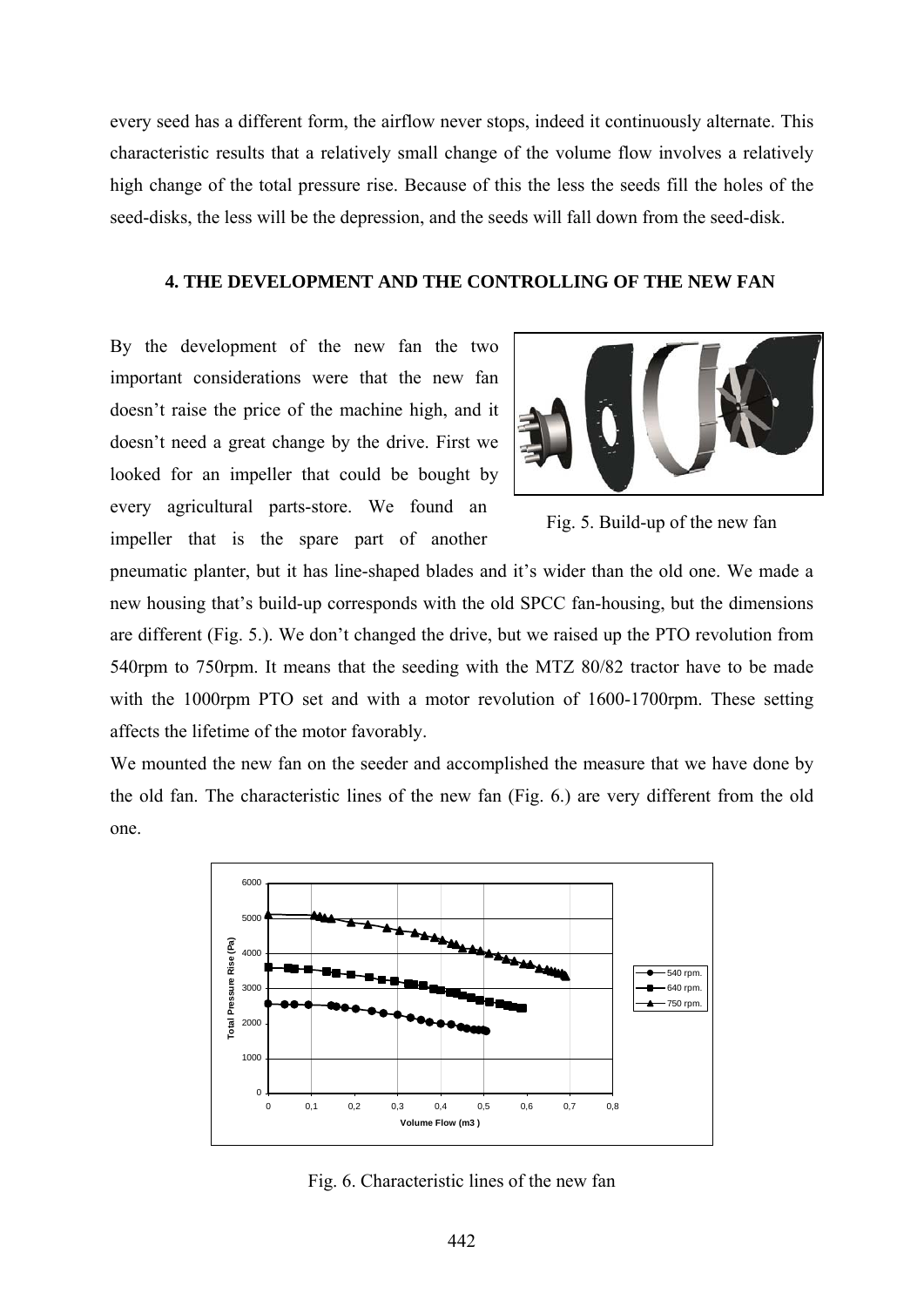every seed has a different form, the airflow never stops, indeed it continuously alternate. This characteristic results that a relatively small change of the volume flow involves a relatively high change of the total pressure rise. Because of this the less the seeds fill the holes of the seed-disks, the less will be the depression, and the seeds will fall down from the seed-disk.

#### **4. THE DEVELOPMENT AND THE CONTROLLING OF THE NEW FAN**

By the development of the new fan the two important considerations were that the new fan doesn't raise the price of the machine high, and it doesn't need a great change by the drive. First we looked for an impeller that could be bought by every agricultural parts-store. We found an impeller that is the spare part of another



Fig. 5. Build-up of the new fan

pneumatic planter, but it has line-shaped blades and it's wider than the old one. We made a new housing that's build-up corresponds with the old SPCC fan-housing, but the dimensions are different (Fig. 5.). We don't changed the drive, but we raised up the PTO revolution from 540rpm to 750rpm. It means that the seeding with the MTZ 80/82 tractor have to be made with the 1000rpm PTO set and with a motor revolution of 1600-1700rpm. These setting affects the lifetime of the motor favorably.

We mounted the new fan on the seeder and accomplished the measure that we have done by the old fan. The characteristic lines of the new fan (Fig. 6.) are very different from the old one.



Fig. 6. Characteristic lines of the new fan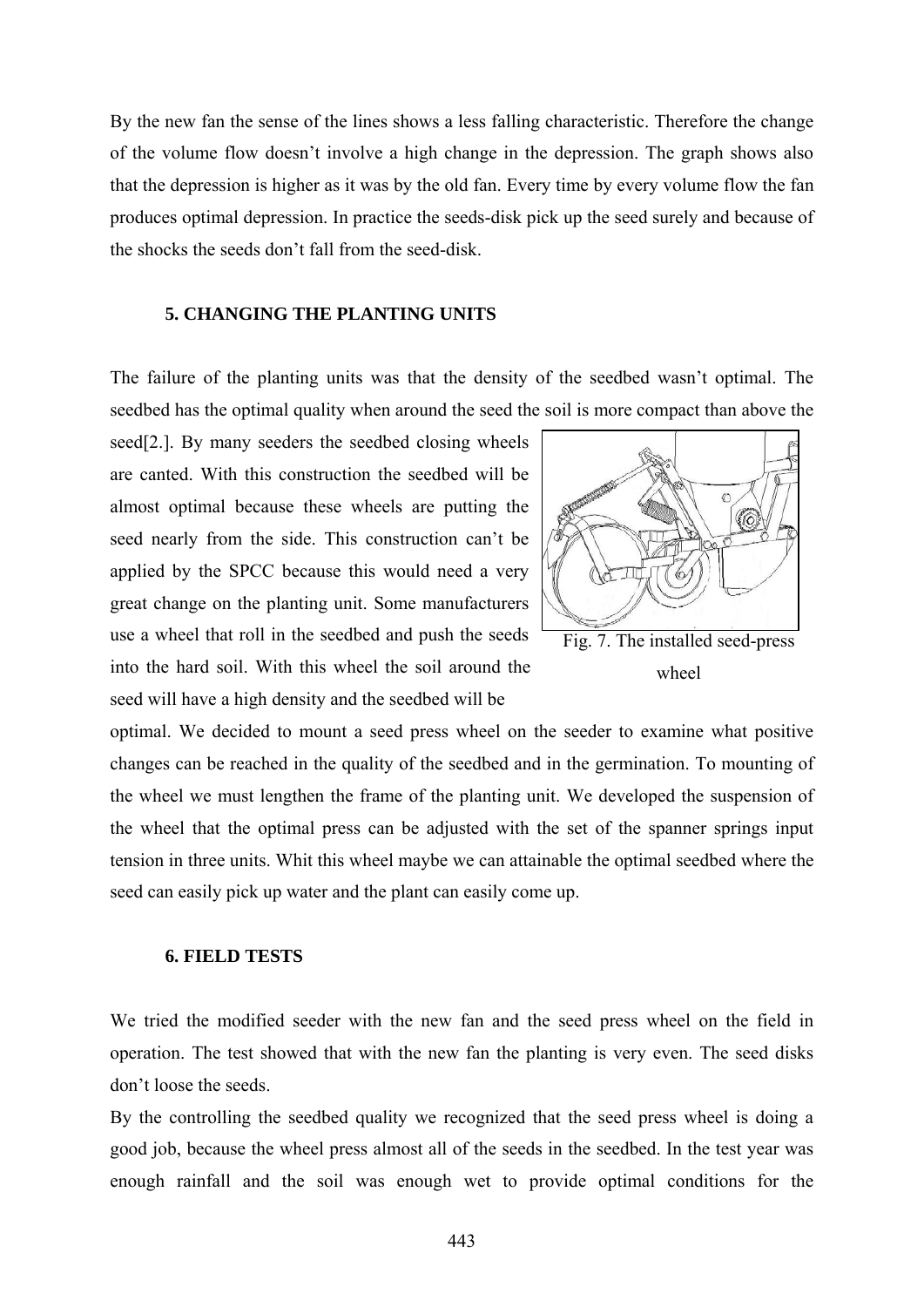By the new fan the sense of the lines shows a less falling characteristic. Therefore the change of the volume flow doesn't involve a high change in the depression. The graph shows also that the depression is higher as it was by the old fan. Every time by every volume flow the fan produces optimal depression. In practice the seeds-disk pick up the seed surely and because of the shocks the seeds don't fall from the seed-disk.

#### **5. CHANGING THE PLANTING UNITS**

The failure of the planting units was that the density of the seedbed wasn't optimal. The seedbed has the optimal quality when around the seed the soil is more compact than above the

seed[2.]. By many seeders the seedbed closing wheels are canted. With this construction the seedbed will be almost optimal because these wheels are putting the seed nearly from the side. This construction can't be applied by the SPCC because this would need a very great change on the planting unit. Some manufacturers use a wheel that roll in the seedbed and push the seeds into the hard soil. With this wheel the soil around the seed will have a high density and the seedbed will be



wheel

optimal. We decided to mount a seed press wheel on the seeder to examine what positive changes can be reached in the quality of the seedbed and in the germination. To mounting of the wheel we must lengthen the frame of the planting unit. We developed the suspension of the wheel that the optimal press can be adjusted with the set of the spanner springs input tension in three units. Whit this wheel maybe we can attainable the optimal seedbed where the seed can easily pick up water and the plant can easily come up.

#### **6. FIELD TESTS**

We tried the modified seeder with the new fan and the seed press wheel on the field in operation. The test showed that with the new fan the planting is very even. The seed disks don't loose the seeds.

By the controlling the seedbed quality we recognized that the seed press wheel is doing a good job, because the wheel press almost all of the seeds in the seedbed. In the test year was enough rainfall and the soil was enough wet to provide optimal conditions for the